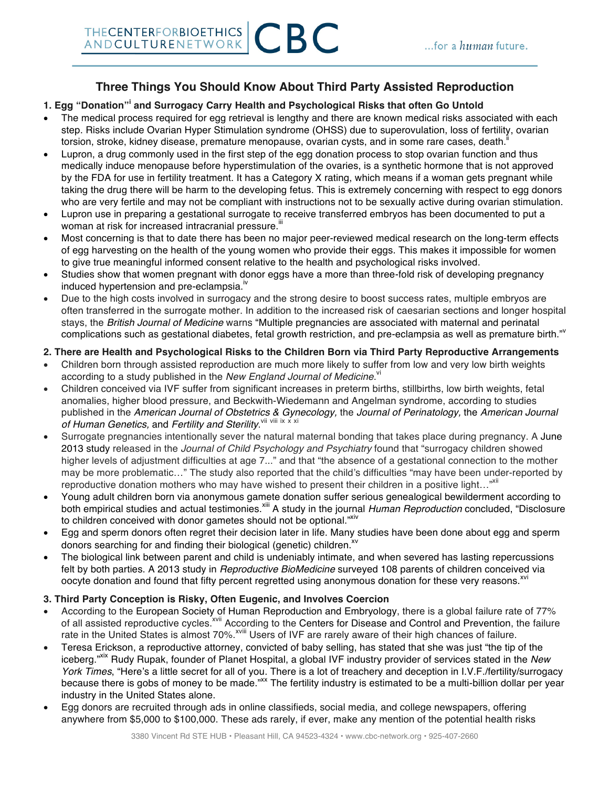## **Three Things You Should Know About Third Party Assisted Reproduction**

## **1. Egg "Donation"<sup>i</sup> and Surrogacy Carry Health and Psychological Risks that often Go Untold**

- The medical process required for egg retrieval is lengthy and there are known medical risks associated with each step. Risks include Ovarian Hyper Stimulation syndrome (OHSS) due to superovulation, loss of fertility, ovarian torsion, stroke, kidney disease, premature menopause, ovarian cysts, and in some rare cases, death.
- Lupron, a drug commonly used in the first step of the egg donation process to stop ovarian function and thus medically induce menopause before hyperstimulation of the ovaries, is a synthetic hormone that is not approved by the FDA for use in fertility treatment. It has a Category X rating, which means if a woman gets pregnant while taking the drug there will be harm to the developing fetus. This is extremely concerning with respect to egg donors who are very fertile and may not be compliant with instructions not to be sexually active during ovarian stimulation.
- Lupron use in preparing a gestational surrogate to receive transferred embryos has been documented to put a woman at risk for increased intracranial pressure.<sup>"1</sup>
- Most concerning is that to date there has been no major peer-reviewed medical research on the long-term effects of egg harvesting on the health of the young women who provide their eggs. This makes it impossible for women to give true meaningful informed consent relative to the health and psychological risks involved.
- Studies show that women pregnant with donor eggs have a more than three-fold risk of developing pregnancy induced hypertension and pre-eclampsia. $^{\prime\prime}$
- Due to the high costs involved in surrogacy and the strong desire to boost success rates, multiple embryos are often transferred in the surrogate mother. In addition to the increased risk of caesarian sections and longer hospital stays, the *British Journal of Medicine* warns "Multiple pregnancies are associated with maternal and perinatal complications such as gestational diabetes, fetal growth restriction, and pre-eclampsia as well as premature birth."<sup>v</sup>

## **2. There are Health and Psychological Risks to the Children Born via Third Party Reproductive Arrangements**

- Children born through assisted reproduction are much more likely to suffer from low and very low birth weights according to a study published in the New England Journal of Medicine.<sup>vi</sup>
- Children conceived via IVF suffer from significant increases in preterm births, stillbirths, low birth weights, fetal anomalies, higher blood pressure, and Beckwith-Wiedemann and Angelman syndrome, according to studies published in the *American Journal of Obstetrics & Gynecology,* the *Journal of Perinatology,* the *American Journal*  of Human Genetics, and Fertility and Sterility.<sup>vii viii ix x xi</sup>
- Surrogate pregnancies intentionally sever the natural maternal bonding that takes place during pregnancy. A June 2013 study released in the *Journal of Child Psychology and Psychiatry* found that "surrogacy children showed higher levels of adjustment difficulties at age 7..." and that "the absence of a gestational connection to the mother may be more problematic…" The study also reported that the child's difficulties "may have been under-reported by reproductive donation mothers who may have wished to present their children in a positive light..."<sup>xiii</sup>
- Young adult children born via anonymous gamete donation suffer serious genealogical bewilderment according to both empirical studies and actual testimonies.xiii A study in the journal *Human Reproduction* concluded, "Disclosure to children conceived with donor gametes should not be optional."Xiv
- Egg and sperm donors often regret their decision later in life. Many studies have been done about egg and sperm donors searching for and finding their biological (genetic) children.<sup>xv</sup>
- The biological link between parent and child is undeniably intimate, and when severed has lasting repercussions felt by both parties. A 2013 study in *Reproductive BioMedicine* surveyed 108 parents of children conceived via oocyte donation and found that fifty percent regretted using anonymous donation for these very reasons.<sup>xvi</sup>

## **3. Third Party Conception is Risky, Often Eugenic, and Involves Coercion**

- According to the European Society of Human Reproduction and Embryology, there is a global failure rate of 77% of all assisted reproductive cycles.<sup>Xvii</sup> According to the Centers for Disease and Control and Prevention, the failure rate in the United States is almost 70%.<sup>xviii</sup> Users of IVF are rarely aware of their high chances of failure.
- Teresa Erickson, a reproductive attorney, convicted of baby selling, has stated that she was just "the tip of the iceberg."xix Rudy Rupak, founder of Planet Hospital, a global IVF industry provider of services stated in the *New York Times*, "Here's a little secret for all of you. There is a lot of treachery and deception in I.V.F./fertility/surrogacy because there is gobs of money to be made."<sup>xx</sup> The fertility industry is estimated to be a multi-billion dollar per year industry in the United States alone.
- Egg donors are recruited through ads in online classifieds, social media, and college newspapers, offering anywhere from \$5,000 to \$100,000. These ads rarely, if ever, make any mention of the potential health risks